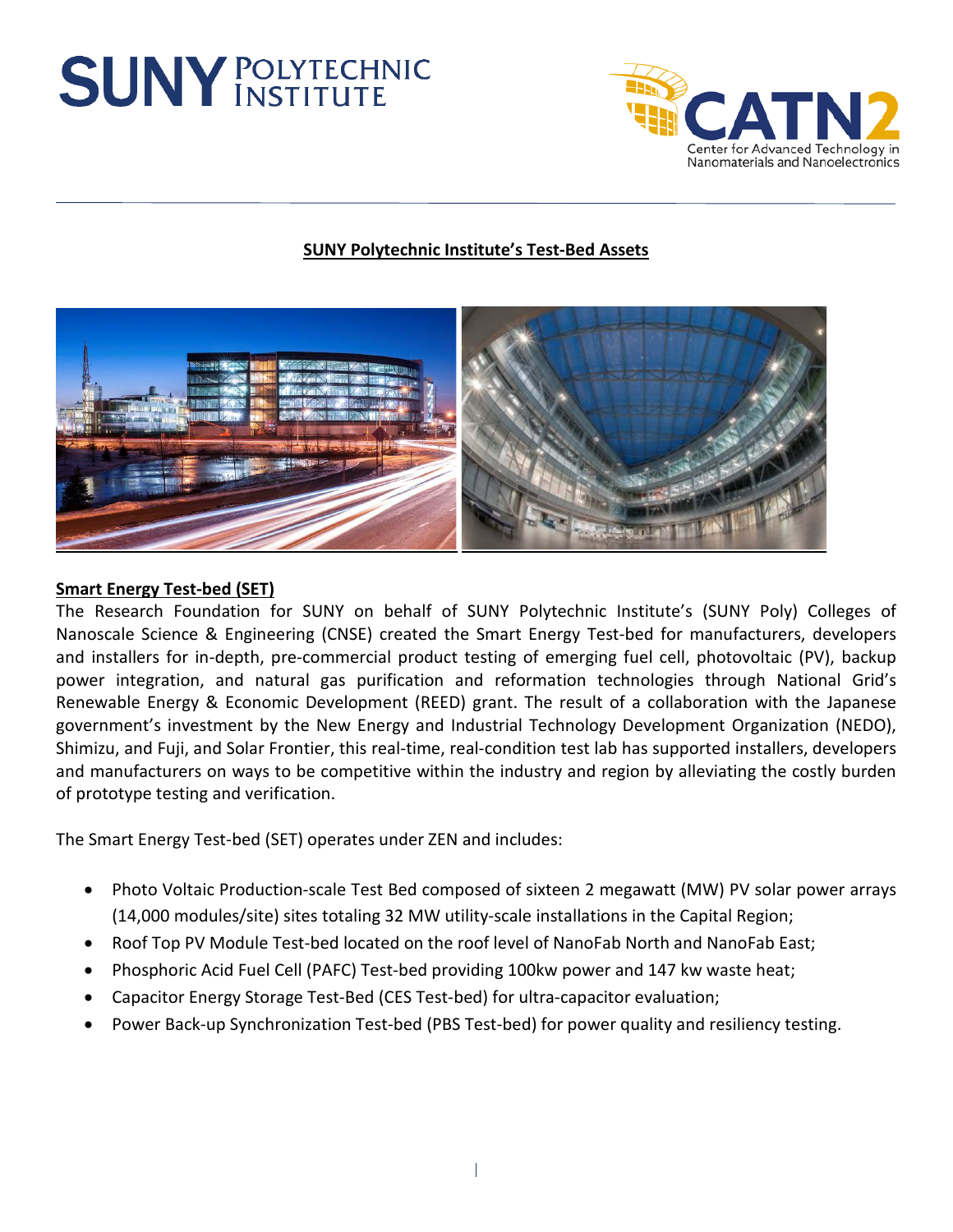## **SUNY POLYTECHNIC**



## **SUNY Polytechnic Institute's Test-Bed Assets**



## **Smart Energy Test-bed (SET)**

The Research Foundation for SUNY on behalf of SUNY Polytechnic Institute's (SUNY Poly) Colleges of Nanoscale Science & Engineering (CNSE) created the Smart Energy Test-bed for manufacturers, developers and installers for in-depth, pre-commercial product testing of emerging fuel cell, photovoltaic (PV), backup power integration, and natural gas purification and reformation technologies through National Grid's Renewable Energy & Economic Development (REED) grant. The result of a collaboration with the Japanese government's investment by the New Energy and Industrial Technology Development Organization (NEDO), Shimizu, and Fuji, and Solar Frontier, this real-time, real-condition test lab has supported installers, developers and manufacturers on ways to be competitive within the industry and region by alleviating the costly burden of prototype testing and verification.

The Smart Energy Test-bed (SET) operates under ZEN and includes:

- Photo Voltaic Production-scale Test Bed composed of sixteen 2 megawatt (MW) PV solar power arrays (14,000 modules/site) sites totaling 32 MW utility-scale installations in the Capital Region;
- Roof Top PV Module Test-bed located on the roof level of NanoFab North and NanoFab East;
- Phosphoric Acid Fuel Cell (PAFC) Test-bed providing 100kw power and 147 kw waste heat;
- Capacitor Energy Storage Test-Bed (CES Test-bed) for ultra-capacitor evaluation;
- Power Back-up Synchronization Test-bed (PBS Test-bed) for power quality and resiliency testing.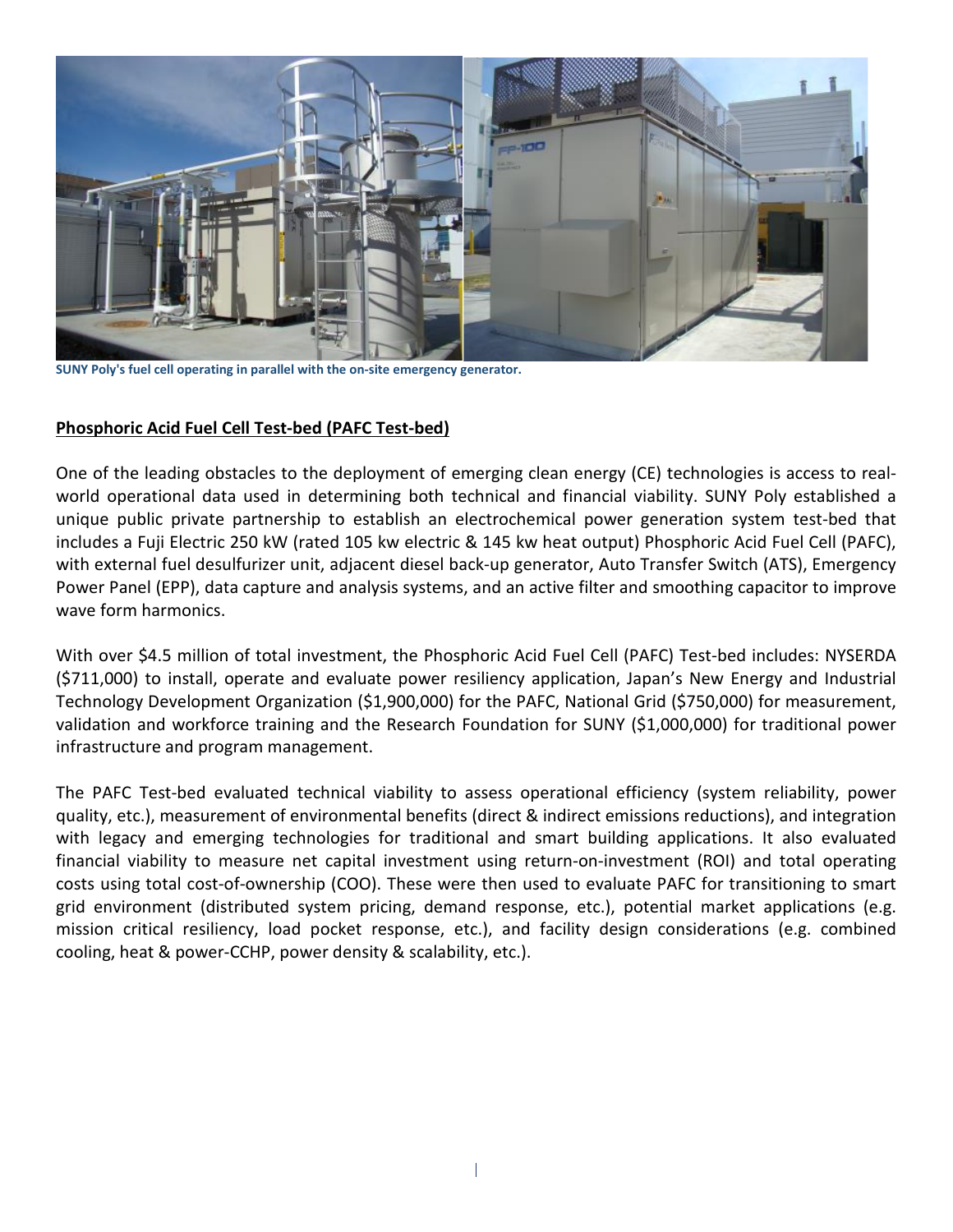

**SUNY Poly's fuel cell operating in parallel with the on-site emergency generator.**

## **Phosphoric Acid Fuel Cell Test-bed (PAFC Test-bed)**

One of the leading obstacles to the deployment of emerging clean energy (CE) technologies is access to realworld operational data used in determining both technical and financial viability. SUNY Poly established a unique public private partnership to establish an electrochemical power generation system test-bed that includes a Fuji Electric 250 kW (rated 105 kw electric & 145 kw heat output) Phosphoric Acid Fuel Cell (PAFC), with external fuel desulfurizer unit, adjacent diesel back-up generator, Auto Transfer Switch (ATS), Emergency Power Panel (EPP), data capture and analysis systems, and an active filter and smoothing capacitor to improve wave form harmonics.

With over \$4.5 million of total investment, the Phosphoric Acid Fuel Cell (PAFC) Test-bed includes: NYSERDA (\$711,000) to install, operate and evaluate power resiliency application, Japan's New Energy and Industrial Technology Development Organization (\$1,900,000) for the PAFC, National Grid (\$750,000) for measurement, validation and workforce training and the Research Foundation for SUNY (\$1,000,000) for traditional power infrastructure and program management.

The PAFC Test-bed evaluated technical viability to assess operational efficiency (system reliability, power quality, etc.), measurement of environmental benefits (direct & indirect emissions reductions), and integration with legacy and emerging technologies for traditional and smart building applications. It also evaluated financial viability to measure net capital investment using return-on-investment (ROI) and total operating costs using total cost-of-ownership (COO). These were then used to evaluate PAFC for transitioning to smart grid environment (distributed system pricing, demand response, etc.), potential market applications (e.g. mission critical resiliency, load pocket response, etc.), and facility design considerations (e.g. combined cooling, heat & power-CCHP, power density & scalability, etc.).